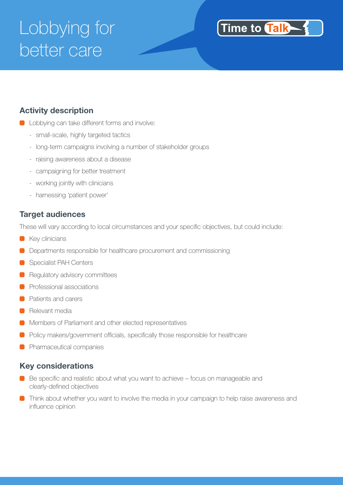# Lobbying for better care



### **Activity description**

- **C** Lobbying can take different forms and involve:
	- small-scale, highly targeted tactics
	- long-term campaigns involving a number of stakeholder groups
	- raising awareness about a disease
	- campaigning for better treatment
	- working jointly with clinicians
	- harnessing 'patient power'

#### **Target audiences**

These will vary according to local circumstances and your specific objectives, but could include:

- Key clinicians
- Departments responsible for healthcare procurement and commissioning
- Specialist PAH Centers
- Regulatory advisory committees
- Professional associations
- **Patients and carers**
- **Relevant media**
- **Members of Parliament and other elected representatives**
- **Policy makers/government officials, specifically those responsible for healthcare**
- **Pharmaceutical companies**

#### **Key considerations**

- Be specific and realistic about what you want to achieve focus on manageable and clearly-defined objectives
- **Think about whether you want to involve the media in your campaign to help raise awareness and** influence opinion